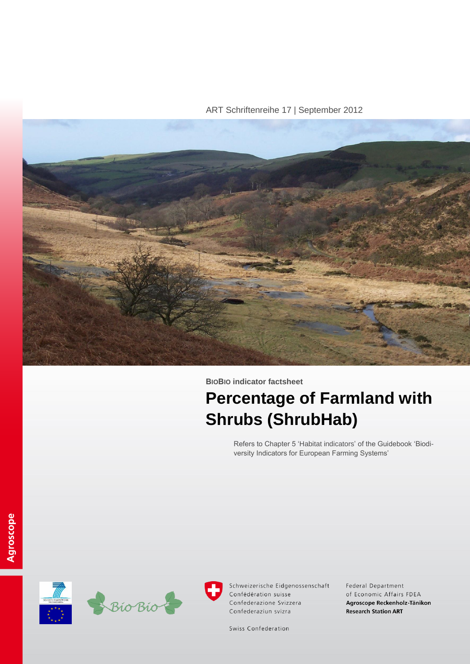ART Schriftenreihe 17 | September 2012



**BIOBIO indicator factsheet**

# **Percentage of Farmland with Shrubs (ShrubHab)**

Refers to Chapter 5 'Habitat indicators' of the Guidebook 'Biodiversity Indicators for European Farming Systems'





Schweizerische Eidgenossenschaft Confédération suisse Confederazione Svizzera Confederaziun svizra

Federal Department of Economic Affairs FDEA Agroscope Reckenholz-Tänikon **Research Station ART** 

Swiss Confederation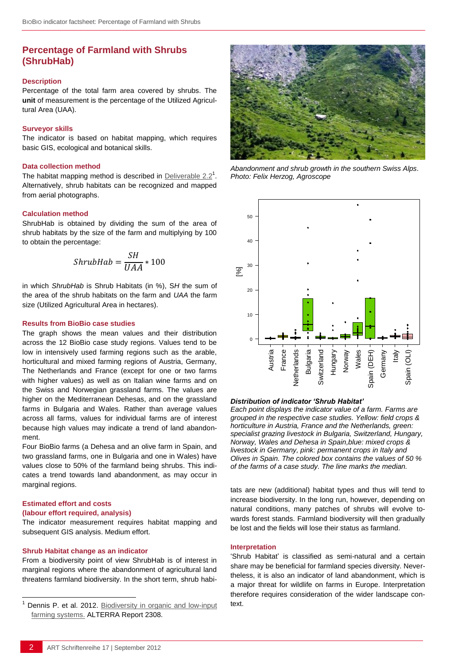# **Percentage of Farmland with Shrubs (ShrubHab)**

#### **Description**

Percentage of the total farm area covered by shrubs. The **unit** of measurement is the percentage of the Utilized Agricultural Area (UAA).

#### **Surveyor skills**

The indicator is based on habitat mapping, which requires basic GIS, ecological and botanical skills.

#### **Data collection method**

The habitat mapping method is described in Deliverable  $2.2<sup>1</sup>$ . Alternatively, shrub habitats can be recognized and mapped from aerial photographs.

#### **Calculation method**

ShrubHab is obtained by dividing the sum of the area of shrub habitats by the size of the farm and multiplying by 100 to obtain the percentage:

$$
ShrubHab = \frac{SH}{UAA} * 100
$$

in which *ShrubHab* is Shrub Habitats (in %), S*H* the sum of the area of the shrub habitats on the farm and *UAA* the farm size (Utilized Agricultural Area in hectares).

#### **Results from BioBio case studies**

The graph shows the mean values and their distribution across the 12 BioBio case study regions. Values tend to be low in intensively used farming regions such as the arable, horticultural and mixed farming regions of Austria, Germany, The Netherlands and France (except for one or two farms with higher values) as well as on Italian wine farms and on the Swiss and Norwegian grassland farms. The values are higher on the Mediterranean Dehesas, and on the grassland farms in Bulgaria and Wales. Rather than average values across all farms, values for individual farms are of interest because high values may indicate a trend of land abandonment.

Four BioBio farms (a Dehesa and an olive farm in Spain, and two grassland farms, one in Bulgaria and one in Wales) have values close to 50% of the farmland being shrubs. This indicates a trend towards land abandonment, as may occur in marginal regions.

## **Estimated effort and costs**

l

## **(labour effort required, analysis)**

The indicator measurement requires habitat mapping and subsequent GIS analysis. Medium effort.

#### **Shrub Habitat change as an indicator**

From a biodiversity point of view ShrubHab is of interest in marginal regions where the abandonment of agricultural land threatens farmland biodiversity. In the short term, shrub habi-



*Abandonment and shrub growth in the southern Swiss Alps. Photo: Felix Herzog, Agroscope*



## *Distribution of indicator 'Shrub Habitat'*

*Each point displays the indicator value of a farm. Farms are grouped in the respective case studies. Yellow: field crops & horticulture in Austria, France and the Netherlands, green: specialist grazing livestock in Bulgaria, Switzerland, Hungary, Norway, Wales and Dehesa in Spain,blue: mixed crops & livestock in Germany, pink: permanent crops in Italy and Olives in Spain. The colored box contains the values of 50 % of the farms of a case study. The line marks the median.*

tats are new (additional) habitat types and thus will tend to increase biodiversity. In the long run, however, depending on natural conditions, many patches of shrubs will evolve towards forest stands. Farmland biodiversity will then gradually be lost and the fields will lose their status as farmland.

#### **Interpretation**

'Shrub Habitat' is classified as semi-natural and a certain share may be beneficial for farmland species diversity. Nevertheless, it is also an indicator of land abandonment, which is a major threat for wildlife on farms in Europe. Interpretation therefore requires consideration of the wider landscape context.

Dennis P. et al. 2012. Biodiversity in organic and low-input [farming systems.](http://www.biobio-indicator.org/deliverables.php) ALTERRA Report 2308.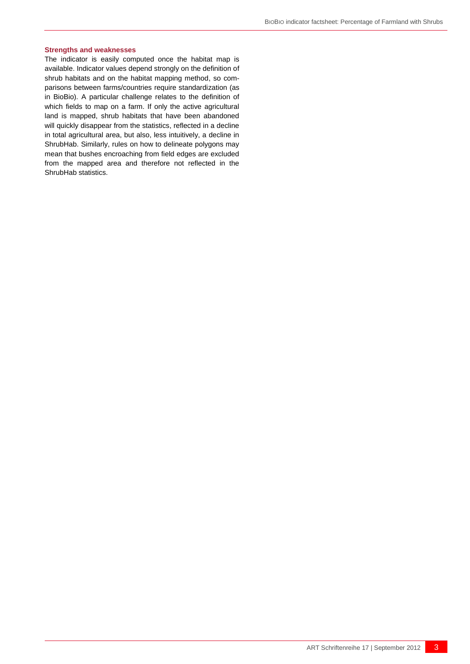#### **Strengths and weaknesses**

The indicator is easily computed once the habitat map is available. Indicator values depend strongly on the definition of shrub habitats and on the habitat mapping method, so comparisons between farms/countries require standardization (as in BioBio). A particular challenge relates to the definition of which fields to map on a farm. If only the active agricultural land is mapped, shrub habitats that have been abandoned will quickly disappear from the statistics, reflected in a decline in total agricultural area, but also, less intuitively, a decline in ShrubHab. Similarly, rules on how to delineate polygons may mean that bushes encroaching from field edges are excluded from the mapped area and therefore not reflected in the ShrubHab statistics.